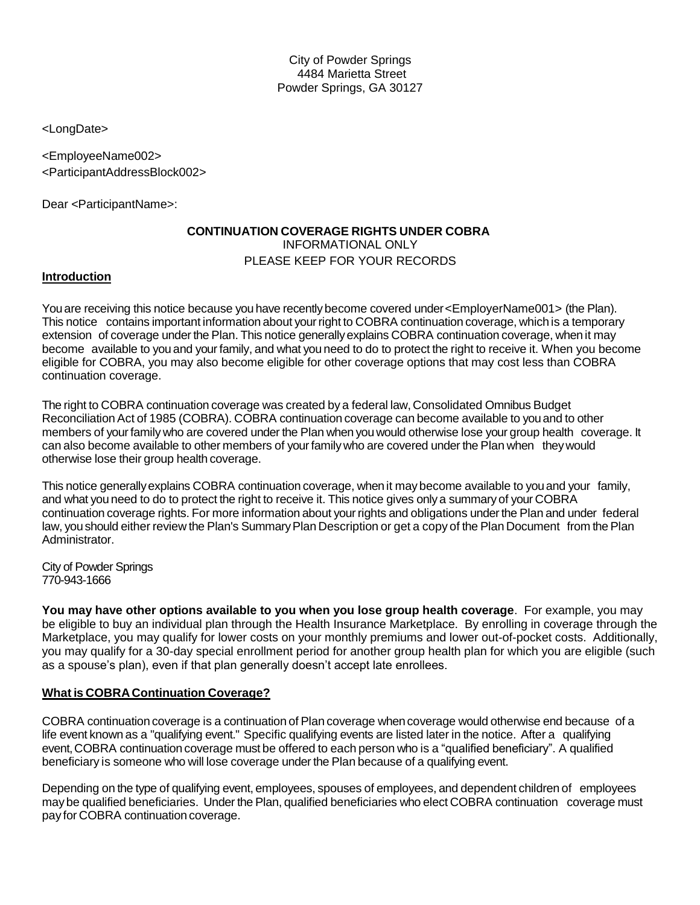City of Powder Springs 4484 Marietta Street Powder Springs, GA 30127

<LongDate>

<EmployeeName002> <ParticipantAddressBlock002>

Dear <ParticipantName>:

# **CONTINUATION COVERAGE RIGHTS UNDER COBRA**

INFORMATIONAL ONLY PLEASE KEEP FOR YOUR RECORDS

#### **Introduction**

You are receiving this notice because you have recently become covered under < EmployerName001> (the Plan). This notice contains important information about yourright to COBRA continuation coverage, which is a temporary extension of coverage under the Plan. This notice generally explains COBRA continuation coverage, when it may become available to you and your family, and what you need to do to protect the right to receive it. When you become eligible for COBRA, you may also become eligible for other coverage options that may cost less than COBRA continuation coverage.

The right to COBRA continuation coverage was created by a federal law, Consolidated Omnibus Budget Reconciliation Act of 1985 (COBRA). COBRA continuation coverage can become available to you and to other members of yourfamily who are covered under the Plan when youwould otherwise lose your group health coverage. It can also become available to other members of yourfamilywho are covered under the Plan when theywould otherwise lose their group health coverage.

This notice generally explains COBRA continuation coverage, when it may become available to you and your family, and what you need to do to protect the right to receive it. This notice gives onlya summaryof your COBRA continuation coverage rights. For more information about yourrights and obligations underthe Plan and under federal law, you should either review the Plan's Summary Plan Description or get a copy of the Plan Document from the Plan Administrator.

City of Powder Springs 770-943-1666

**You may have other options available to you when you lose group health coverage**. For example, you may be eligible to buy an individual plan through the Health Insurance Marketplace. By enrolling in coverage through the Marketplace, you may qualify for lower costs on your monthly premiums and lower out-of-pocket costs. Additionally, you may qualify for a 30-day special enrollment period for another group health plan for which you are eligible (such as a spouse's plan), even if that plan generally doesn't accept late enrollees.

## **What is COBRAContinuation Coverage?**

COBRA continuation coverage is a continuation of Plan coverage whencoverage would otherwise end because of a life event known as a "qualifying event." Specific qualifying events are listed later in the notice. After a qualifying event,COBRA continuation coverage must be offered to each person who is a "qualified beneficiary". A qualified beneficiary is someone who will lose coverage underthe Plan because of a qualifying event.

Depending on the type of qualifying event, employees, spouses of employees, and dependent children of employees maybe qualified beneficiaries. Under the Plan, qualified beneficiaries who elect COBRA continuation coverage must pay for COBRA continuation coverage.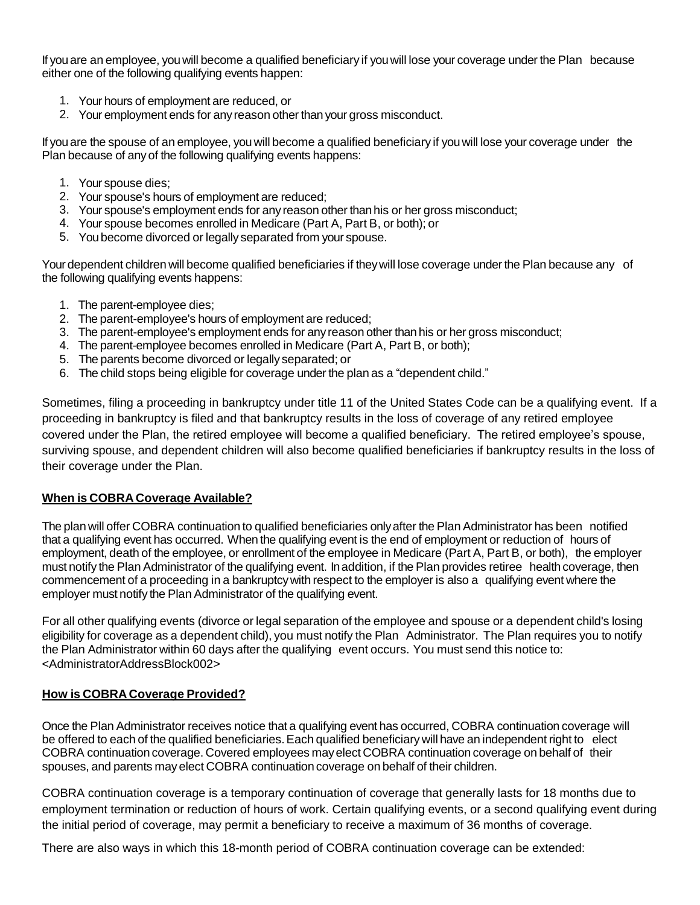If youare an employee, you will become a qualified beneficiary if youwill lose your coverage under the Plan because either one of the following qualifying events happen:

- 1. Your hours of employment are reduced, or
- 2. Your employment ends for any reason other thanyour gross misconduct.

If youare the spouse of an employee, youwill become a qualified beneficiary if youwill lose your coverage under the Plan because of anyof the following qualifying events happens:

- 1. Your spouse dies;
- 2. Your spouse's hours of employment are reduced;
- 3. Your spouse's employment ends for anyreason other thanhis or her gross misconduct;
- 4. Your spouse becomes enrolled in Medicare (Part A, Part B, or both); or
- 5. Youbecome divorced or legally separated from your spouse.

Your dependent children will become qualified beneficiaries if theywill lose coverage under the Plan because any of the following qualifying events happens:

- 1. The parent-employee dies;
- 2. The parent-employee's hours of employment are reduced;
- 3. The parent-employee's employment ends for anyreason other thanhis or her gross misconduct;
- 4. The parent-employee becomes enrolled in Medicare (Part A, Part B, or both);
- 5. The parents become divorced or legally separated; or
- 6. The child stops being eligible for coverage under the plan as a "dependent child."

Sometimes, filing a proceeding in bankruptcy under title 11 of the United States Code can be a qualifying event. If a proceeding in bankruptcy is filed and that bankruptcy results in the loss of coverage of any retired employee covered under the Plan, the retired employee will become a qualified beneficiary. The retired employee's spouse, surviving spouse, and dependent children will also become qualified beneficiaries if bankruptcy results in the loss of their coverage under the Plan.

#### **When is COBRACoverage Available?**

The plan will offer COBRA continuation to qualified beneficiaries onlyafter the Plan Administrator has been notified that a qualifying event has occurred. When the qualifying event is the end of employment or reduction of hours of employment, death of the employee, or enrollment of the employee in Medicare (Part A, Part B, or both), the employer must notify the Plan Administrator of the qualifying event. Inaddition, if the Plan provides retiree health coverage, then commencement of a proceeding in a bankruptcywith respect to the employer is also a qualifying event where the employer must notify the Plan Administrator of the qualifying event.

For all other qualifying events (divorce or legal separation of the employee and spouse or a dependent child's losing eligibility for coverage as a dependent child), you must notify the Plan Administrator. The Plan requires you to notify the Plan Administrator within 60 days after the qualifying event occurs. You must send this notice to: <AdministratorAddressBlock002>

#### **How is COBRA Coverage Provided?**

Once the Plan Administrator receives notice that a qualifying event has occurred, COBRA continuation coverage will be offered to each of the qualified beneficiaries.Each qualified beneficiary will have an independent right to elect COBRA continuation coverage. Covered employees mayelect COBRA continuation coverage on behalf of their spouses, and parents mayelect COBRA continuation coverage on behalf of their children.

COBRA continuation coverage is a temporary continuation of coverage that generally lasts for 18 months due to employment termination or reduction of hours of work. Certain qualifying events, or a second qualifying event during the initial period of coverage, may permit a beneficiary to receive a maximum of 36 months of coverage.

There are also ways in which this 18-month period of COBRA continuation coverage can be extended: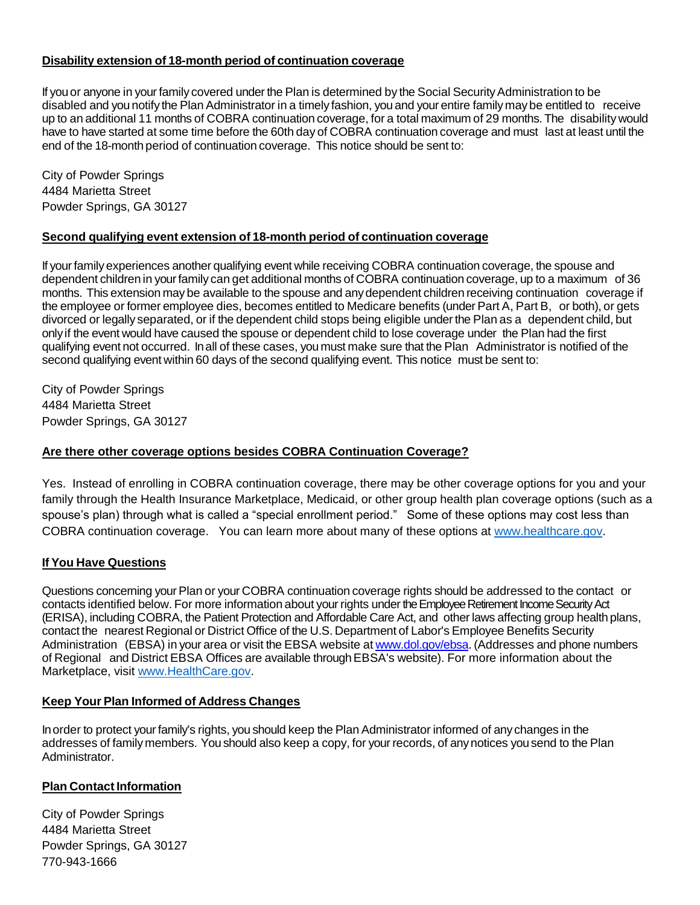## **Disability extension of 18-month period of continuation coverage**

If you or anyone in your family covered under the Plan is determined by the Social Security Administration to be disabled and you notify the Plan Administrator in a timely fashion, you and your entire familymaybe entitled to receive up to an additional 11 months of COBRA continuation coverage, for a total maximum of 29 months. The disability would have to have started at some time before the 60th day of COBRA continuation coverage and must last at least until the end of the 18-month period of continuation coverage. This notice should be sent to:

City of Powder Springs 4484 Marietta Street Powder Springs, GA 30127

#### **Second qualifying event extension of 18-month period of continuation coverage**

If yourfamilyexperiences another qualifying event while receiving COBRA continuation coverage, the spouse and dependent children in yourfamily can get additional months of COBRA continuation coverage, up to a maximum of 36 months. This extension may be available to the spouse and anydependent children receiving continuation coverage if the employee or former employee dies, becomes entitled to Medicare benefits (under Part A, Part B, or both), or gets divorced or legally separated, or if the dependent child stops being eligible underthe Plan as a dependent child, but onlyif the event would have caused the spouse or dependent child to lose coverage under the Plan had the first qualifying event not occurred. Inall of these cases, you must make sure that the Plan Administrator is notified of the second qualifying event within 60 days of the second qualifying event. This notice must be sent to:

City of Powder Springs 4484 Marietta Street Powder Springs, GA 30127

#### **Are there other coverage options besides COBRA Continuation Coverage?**

Yes. Instead of enrolling in COBRA continuation coverage, there may be other coverage options for you and your family through the Health Insurance Marketplace, Medicaid, or other group health plan coverage options (such as a spouse's plan) through what is called a "special enrollment period." Some of these options may cost less than COBRA continuation coverage. You can learn more about many of these options at [www.healthcare.gov.](http://www.healthcare.gov/)

## **If You Have Questions**

Questions concerning your Plan or your COBRA continuation coverage rights should be addressed to the contact or contacts identified below. For more information about your rights under the Employee Retirement Income Security Act (ERISA), including COBRA, the Patient Protection and Affordable Care Act, and other laws affecting group health plans, contact the nearest Regional or District Office of the U.S. Department of Labor's Employee Benefits Security Administration (EBSA) in your area or visit the EBSA website at [www.dol.gov/ebsa.](http://www.dol.gov/ebsa) (Addresses and phone numbers of Regional and District EBSA Offices are available through EBSA's website). For more information about the Marketplace, visit [www.HealthCare.gov.](http://www.healthcare.gov/)

#### **Keep Your Plan Informed of Address Changes**

Inorder to protect yourfamily's rights, you should keep the Plan Administrator informed of anychanges in the addresses of familymembers. Youshould also keep a copy, for your records, of anynotices yousend to the Plan Administrator.

#### **Plan Contact Information**

City of Powder Springs 4484 Marietta Street Powder Springs, GA 30127 770-943-1666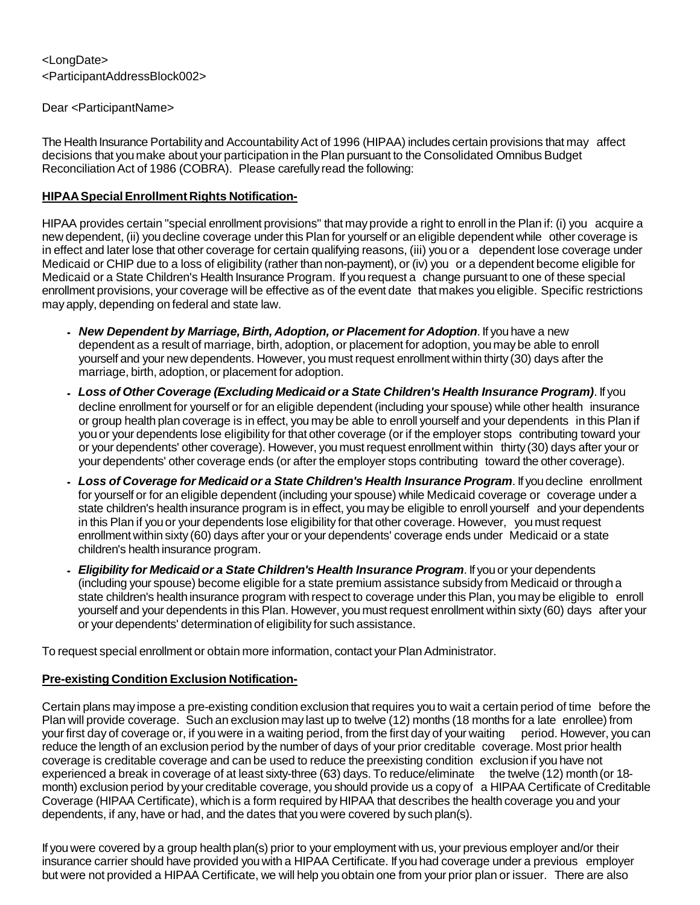<LongDate> <ParticipantAddressBlock002>

## Dear <ParticipantName>

The Health Insurance Portability and Accountability Act of 1996 (HIPAA) includes certain provisions that may affect decisions that youmake about your participation in the Plan pursuant to the Consolidated Omnibus Budget Reconciliation Act of 1986 (COBRA). Please carefully read the following:

#### **HIPAASpecialEnrollment Rights Notification-**

HIPAA provides certain "special enrollment provisions" that mayprovide a right to enroll in the Plan if: (i) you acquire a new dependent, (ii) you decline coverage underthis Plan for yourself or an eligible dependent while other coverage is in effect and later lose that other coverage for certain qualifying reasons, (iii) you or a dependent lose coverage under Medicaid or CHIP due to a loss of eligibility (rather than non-payment), or (iv) you or a dependent become eligible for Medicaid or a State Children's Health Insurance Program. If you request a change pursuant to one of these special enrollment provisions, your coverage will be effective as of the event date that makes youeligible. Specific restrictions mayapply, depending on federal and state law.

- *New Dependent by Marriage, Birth, Adoption, or Placement for Adoption*. If youhave a new dependent as a result of marriage, birth, adoption, or placement for adoption, youmaybe able to enroll yourself and your new dependents. However, you must request enrollment within thirty (30) days after the marriage, birth, adoption, or placement for adoption.
- *Loss of Other Coverage (Excluding Medicaid or a State Children's Health Insurance Program)*. If you decline enrollment for yourself or for an eligible dependent (including your spouse) while other health insurance or group health plan coverage is in effect, you may be able to enroll yourself and your dependents in this Plan if youor your dependents lose eligibility for that other coverage (or if the employer stops contributing toward your or your dependents' other coverage). However, youmustrequest enrollment within thirty(30) days after your or your dependents' other coverage ends (or after the employer stops contributing toward the other coverage).
- *Loss of Coverage for Medicaid or a State Children's Health Insurance Program*. If youdecline enrollment for yourself or for an eligible dependent (including your spouse) while Medicaid coverage or coverage under a state children's health insurance program is in effect, you may be eligible to enroll yourself and your dependents in this Plan if youor your dependents lose eligibility for that other coverage. However, youmust request enrollment within sixty (60) days after your or your dependents' coverage ends under Medicaid or a state children's health insurance program.
- *Eligibility for Medicaid or a State Children's Health Insurance Program*. If you or your dependents (including your spouse) become eligible for a state premium assistance subsidy from Medicaid or througha state children's health insurance program with respect to coverage underthis Plan, you may be eligible to enroll yourself and your dependents in this Plan. However, you mustrequest enrollment within sixty (60) days after your or your dependents' determination of eligibility for such assistance.

To request special enrollment or obtain more information, contact your Plan Administrator.

## **Pre-existing Condition Exclusion Notification-**

Certain plans may impose a pre-existing condition exclusion that requires you to wait a certain period of time before the Plan will provide coverage. Such an exclusion may last up to twelve (12) months (18 months for a late enrollee) from your first day of coverage or, if you were in a waiting period, from the first day of your waiting period. However, you can reduce the length of an exclusion period by the number of days of your prior creditable coverage. Most prior health coverage is creditable coverage and can be used to reduce the preexisting condition exclusion if you have not experienced a break in coverage of at least sixty-three (63) days. To reduce/eliminate the twelve (12) month (or 18month) exclusion period by your creditable coverage, you should provide us a copy of a HIPAA Certificate of Creditable Coverage (HIPAA Certificate), which is a form required by HIPAA that describes the health coverage you and your dependents, if any, have or had, and the dates that you were covered by such plan(s).

If you were covered by a group health plan(s) prior to your employment with us, your previous employer and/or their insurance carrier should have provided youwith a HIPAA Certificate. If you had coverage under a previous employer but were not provided a HIPAA Certificate, we will help youobtain one from your prior plan or issuer. There are also